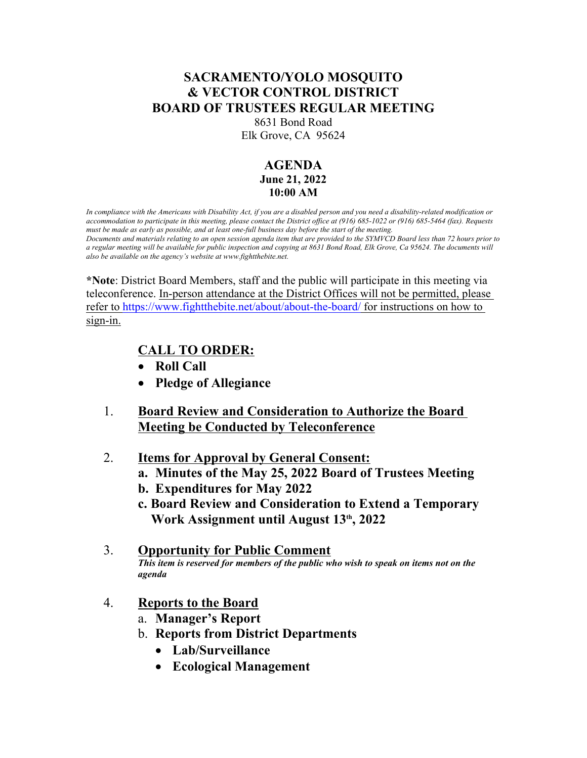## **SACRAMENTO/YOLO MOSQUITO & VECTOR CONTROL DISTRICT BOARD OF TRUSTEES REGULAR MEETING**

8631 Bond Road

Elk Grove, CA 95624

## **AGENDA June 21, 2022 10:00 AM**

*In compliance with the Americans with Disability Act, if you are a disabled person and you need a disability-related modification or accommodation to participate in this meeting, please contact the District office at (916) 685-1022 or (916) 685-5464 (fax). Requests must be made as early as possible, and at least one-full business day before the start of the meeting. Documents and materials relating to an open session agenda item that are provided to the SYMVCD Board less than 72 hours prior to a regular meeting will be available for public inspection and copying at 8631 Bond Road, Elk Grove, Ca 95624. The documents will also be available on the agency's website at www.fightthebite.net.*

**\*Note**: District Board Members, staff and the public will participate in this meeting via teleconference. In-person attendance at the District Offices will not be permitted, please refer to https://www.fightthebite.net/about/about-the-board/ for instructions on how to sign-in.

## **CALL TO ORDER:**

- **Roll Call**
- **Pledge of Allegiance**
- 1. **Board Review and Consideration to Authorize the Board Meeting be Conducted by Teleconference**
- 2. **Items for Approval by General Consent:**
	- **a. Minutes of the May 25, 2022 Board of Trustees Meeting**
	- **b. Expenditures for May 2022**
	- **c. Board Review and Consideration to Extend a Temporary Work Assignment until August 13th, 2022**
- 3. **Opportunity for Public Comment** *This item is reserved for members of the public who wish to speak on items not on the agenda*
- 4. **Reports to the Board**
	- a. **Manager's Report**
	- b. **Reports from District Departments**
		- **Lab/Surveillance**
		- **Ecological Management**